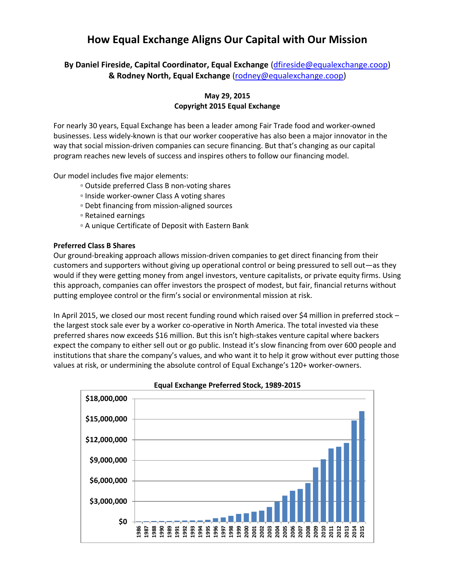# **How Equal Exchange Aligns Our Capital with Our Mission**

**By Daniel Fireside, Capital Coordinator, Equal Exchange** [\(dfireside@equalexchange.coop\)](mailto:dfireside@equalexchange.coop) **& Rodney North, Equal Exchange** [\(rodney@equalexchange.coop\)](mailto:rodney@equalexchange.coop)

# **May 29, 2015 Copyright 2015 Equal Exchange**

For nearly 30 years, Equal Exchange has been a leader among Fair Trade food and worker-owned businesses. Less widely-known is that our worker cooperative has also been a major innovator in the way that social mission-driven companies can secure financing. But that's changing as our capital program reaches new levels of success and inspires others to follow our financing model.

Our model includes five major elements:

- Outside preferred Class B non-voting shares
- Inside worker-owner Class A voting shares
- Debt financing from mission-aligned sources
- Retained earnings
- A unique Certificate of Deposit with Eastern Bank

## **Preferred Class B Shares**

Our ground-breaking approach allows mission-driven companies to get direct financing from their customers and supporters without giving up operational control or being pressured to sell out—as they would if they were getting money from angel investors, venture capitalists, or private equity firms. Using this approach, companies can offer investors the prospect of modest, but fair, financial returns without putting employee control or the firm's social or environmental mission at risk.

In April 2015, we closed our most recent funding round which raised over \$4 million in preferred stock – the largest stock sale ever by a worker co-operative in North America. The total invested via these preferred shares now exceeds \$16 million. But this isn't high-stakes venture capital where backers expect the company to either sell out or go public. Instead it's slow financing from over 600 people and institutions that share the company's values, and who want it to help it grow without ever putting those values at risk, or undermining the absolute control of Equal Exchange's 120+ worker-owners.



**Equal Exchange Preferred Stock, 1989-2015**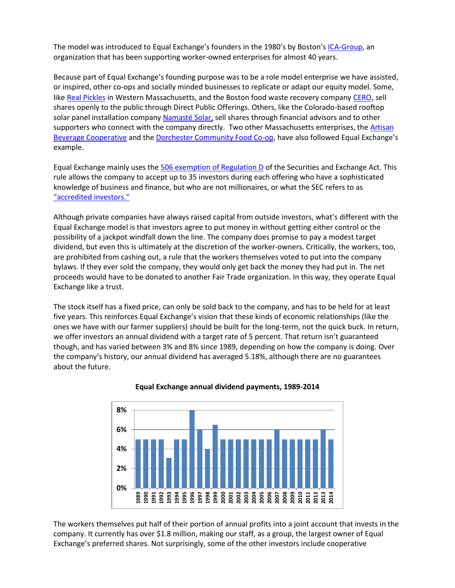The model was introduced to Equal Exchange's founders in the 1980's by Boston's [ICA-Group,](http://ica-group.org/) an organization that has been supporting worker-owned enterprises for almost 40 years.

Because part of Equal Exchange's founding purpose was to be a role model enterprise we have assisted, or inspired, other co-ops and socially minded businesses to replicate or adapt our equity model. Some, like [Real Pickles](http://www.realpickles.com/) in Western Massachusetts, and the Boston food waste recovery company [CERO](http://www.cero.coop/), sell shares openly to the public through Direct Public Offerings. Others, like the Colorado-based rooftop solar panel installation company [Namasté Solar,](http://www.namastesolar.com/) sell shares through financial advisors and to other supporters who connect with the company directly. Two other Massachusetts enterprises, the [Artisan](http://artbev.coop/)  [Beverage Cooperative](http://artbev.coop/) and the [Dorchester Community Food Co-op](https://dotcommcoop.wordpress.com/), have also followed Equal Exchange's example.

Equal Exchange mainly uses the [506 exemption of Regulation D](http://www.sec.gov/answers/rule506.htm) of the Securities and Exchange Act. This rule allows the company to accept up to 35 investors during each offering who have a sophisticated knowledge of business and finance, but who are not millionaires, or what the SEC refers to as ["accredited investors."](http://www.sec.gov/answers/accred.htm)

Although private companies have always raised capital from outside investors, what's different with the Equal Exchange model is that investors agree to put money in without getting either control or the possibility of a jackpot windfall down the line. The company does promise to pay a modest target dividend, but even this is ultimately at the discretion of the worker-owners. Critically, the workers, too, are prohibited from cashing out, a rule that the workers themselves voted to put into the company bylaws. If they ever sold the company, they would only get back the money they had put in. The net proceeds would have to be donated to another Fair Trade organization. In this way, they operate Equal Exchange like a trust.

The stock itself has a fixed price, can only be sold back to the company, and has to be held for at least five years. This reinforces Equal Exchange's vision that these kinds of economic relationships (like the ones we have with our farmer suppliers) should be built for the long-term, not the quick buck. In return, we offer investors an annual dividend with a target rate of 5 percent. That return isn't guaranteed though, and has varied between 3% and 8% since 1989, depending on how the company is doing. Over the company's history, our annual dividend has averaged 5.18%, although there are no guarantees about the future.



## **Equal Exchange annual dividend payments, 1989-2014**

The workers themselves put half of their portion of annual profits into a joint account that invests in the company. It currently has over \$1.8 million, making our staff, as a group, the largest owner of Equal Exchange's preferred shares. Not surprisingly, some of the other investors include cooperative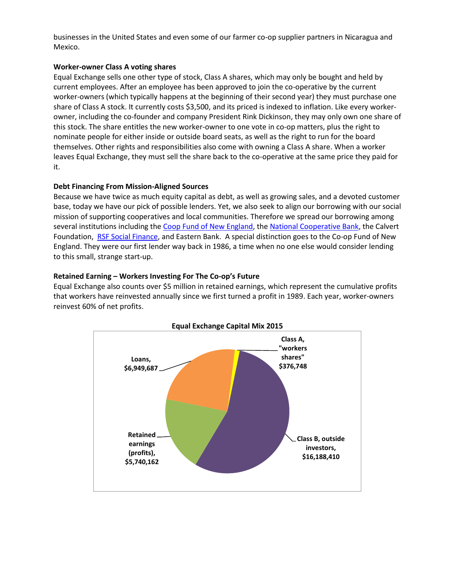businesses in the United States and even some of our farmer co-op supplier partners in Nicaragua and Mexico.

# **Worker-owner Class A voting shares**

Equal Exchange sells one other type of stock, Class A shares, which may only be bought and held by current employees. After an employee has been approved to join the co-operative by the current worker-owners (which typically happens at the beginning of their second year) they must purchase one share of Class A stock. It currently costs \$3,500, and its priced is indexed to inflation. Like every workerowner, including the co-founder and company President Rink Dickinson, they may only own one share of this stock. The share entitles the new worker-owner to one vote in co-op matters, plus the right to nominate people for either inside or outside board seats, as well as the right to run for the board themselves. Other rights and responsibilities also come with owning a Class A share. When a worker leaves Equal Exchange, they must sell the share back to the co-operative at the same price they paid for it.

# **Debt Financing From Mission-Aligned Sources**

Because we have twice as much equity capital as debt, as well as growing sales, and a devoted customer base, today we have our pick of possible lenders. Yet, we also seek to align our borrowing with our social mission of supporting cooperatives and local communities. Therefore we spread our borrowing among several institutions including the Coop [Fund of New England,](http://coopfund.coop/) the [National Cooperative Bank,](https://www.ncb.coop/) the Calvert Foundation, [RSF Social Finance,](http://rsfsocialfinance.org/) and Eastern Bank. A special distinction goes to the Co-op Fund of New England. They were our first lender way back in 1986, a time when no one else would consider lending to this small, strange start-up.

# **Retained Earning – Workers Investing For The Co-op's Future**

Equal Exchange also counts over \$5 million in retained earnings, which represent the cumulative profits that workers have reinvested annually since we first turned a profit in 1989. Each year, worker-owners reinvest 60% of net profits.



# **Equal Exchange Capital Mix 2015**